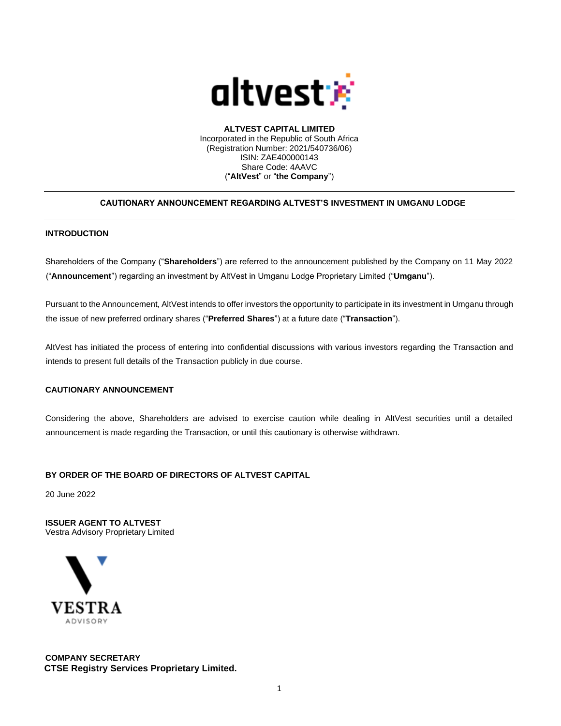

**ALTVEST CAPITAL LIMITED** Incorporated in the Republic of South Africa (Registration Number: 2021/540736/06) ISIN: ZAE400000143 Share Code: 4AAVC ("**AltVest**" or "**the Company**")

## **CAUTIONARY ANNOUNCEMENT REGARDING ALTVEST'S INVESTMENT IN UMGANU LODGE**

## **INTRODUCTION**

Shareholders of the Company ("**Shareholders**") are referred to the announcement published by the Company on 11 May 2022 ("**Announcement**") regarding an investment by AltVest in Umganu Lodge Proprietary Limited ("**Umganu**").

Pursuant to the Announcement, AltVest intends to offer investors the opportunity to participate in its investment in Umganu through the issue of new preferred ordinary shares ("**Preferred Shares**") at a future date ("**Transaction**").

AltVest has initiated the process of entering into confidential discussions with various investors regarding the Transaction and intends to present full details of the Transaction publicly in due course.

## **CAUTIONARY ANNOUNCEMENT**

Considering the above, Shareholders are advised to exercise caution while dealing in AltVest securities until a detailed announcement is made regarding the Transaction, or until this cautionary is otherwise withdrawn.

## **BY ORDER OF THE BOARD OF DIRECTORS OF ALTVEST CAPITAL**

20 June 2022

**ISSUER AGENT TO ALTVEST** Vestra Advisory Proprietary Limited



**COMPANY SECRETARY CTSE Registry Services Proprietary Limited.**